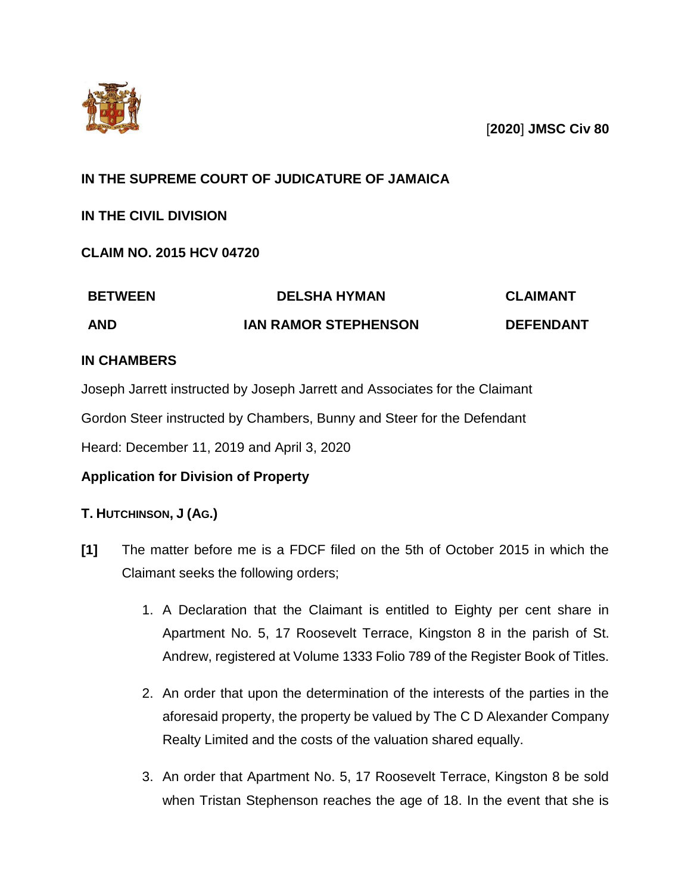

## [**2020**] **JMSC Civ 80**

# **IN THE SUPREME COURT OF JUDICATURE OF JAMAICA**

## **IN THE CIVIL DIVISION**

## **CLAIM NO. 2015 HCV 04720**

| <b>BETWEEN</b> | <b>DELSHA HYMAN</b>         | <b>CLAIMANT</b>  |
|----------------|-----------------------------|------------------|
| <b>AND</b>     | <b>IAN RAMOR STEPHENSON</b> | <b>DEFENDANT</b> |

## **IN CHAMBERS**

Joseph Jarrett instructed by Joseph Jarrett and Associates for the Claimant

Gordon Steer instructed by Chambers, Bunny and Steer for the Defendant

Heard: December 11, 2019 and April 3, 2020

## **Application for Division of Property**

## **T. HUTCHINSON, J (AG.)**

- **[1]** The matter before me is a FDCF filed on the 5th of October 2015 in which the Claimant seeks the following orders;
	- 1. A Declaration that the Claimant is entitled to Eighty per cent share in Apartment No. 5, 17 Roosevelt Terrace, Kingston 8 in the parish of St. Andrew, registered at Volume 1333 Folio 789 of the Register Book of Titles.
	- 2. An order that upon the determination of the interests of the parties in the aforesaid property, the property be valued by The C D Alexander Company Realty Limited and the costs of the valuation shared equally.
	- 3. An order that Apartment No. 5, 17 Roosevelt Terrace, Kingston 8 be sold when Tristan Stephenson reaches the age of 18. In the event that she is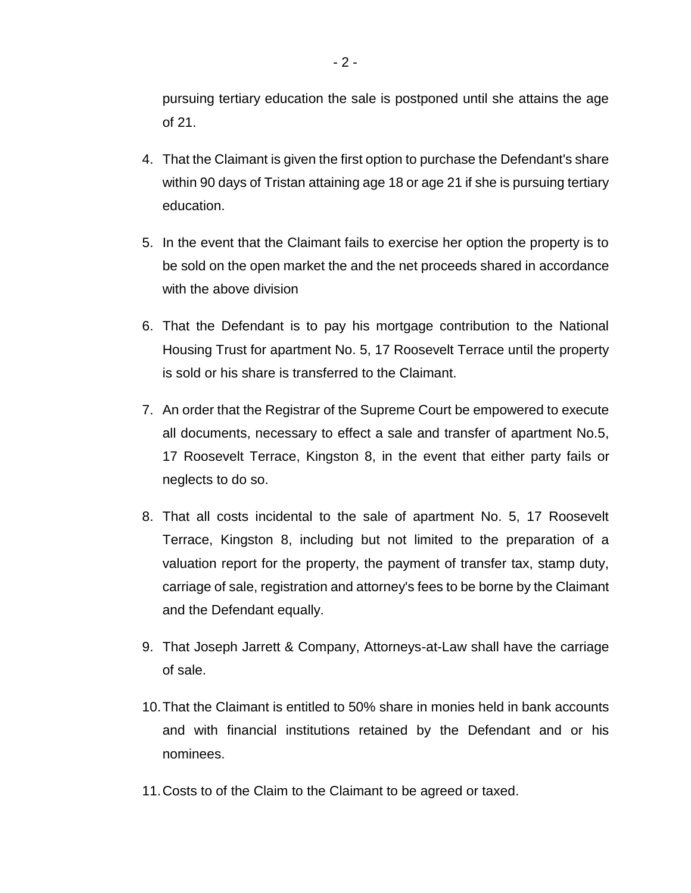pursuing tertiary education the sale is postponed until she attains the age of 21.

- 4. That the Claimant is given the first option to purchase the Defendant's share within 90 days of Tristan attaining age 18 or age 21 if she is pursuing tertiary education.
- 5. In the event that the Claimant fails to exercise her option the property is to be sold on the open market the and the net proceeds shared in accordance with the above division
- 6. That the Defendant is to pay his mortgage contribution to the National Housing Trust for apartment No. 5, 17 Roosevelt Terrace until the property is sold or his share is transferred to the Claimant.
- 7. An order that the Registrar of the Supreme Court be empowered to execute all documents, necessary to effect a sale and transfer of apartment No.5, 17 Roosevelt Terrace, Kingston 8, in the event that either party fails or neglects to do so.
- 8. That all costs incidental to the sale of apartment No. 5, 17 Roosevelt Terrace, Kingston 8, including but not limited to the preparation of a valuation report for the property, the payment of transfer tax, stamp duty, carriage of sale, registration and attorney's fees to be borne by the Claimant and the Defendant equally.
- 9. That Joseph Jarrett & Company, Attorneys-at-Law shall have the carriage of sale.
- 10.That the Claimant is entitled to 50% share in monies held in bank accounts and with financial institutions retained by the Defendant and or his nominees.
- 11.Costs to of the Claim to the Claimant to be agreed or taxed.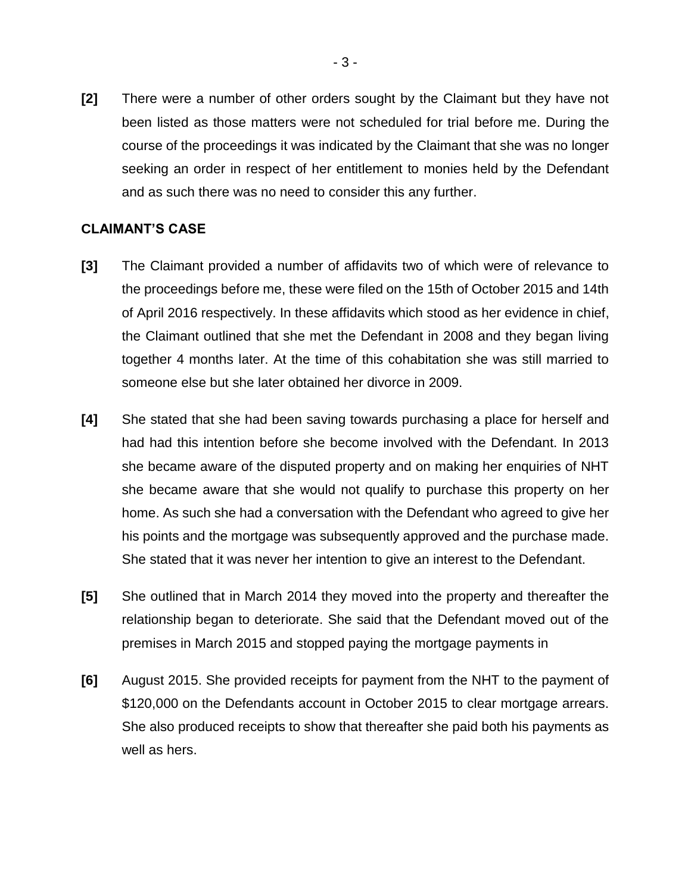**[2]** There were a number of other orders sought by the Claimant but they have not been listed as those matters were not scheduled for trial before me. During the course of the proceedings it was indicated by the Claimant that she was no longer seeking an order in respect of her entitlement to monies held by the Defendant and as such there was no need to consider this any further.

### **CLAIMANT'S CASE**

- **[3]** The Claimant provided a number of affidavits two of which were of relevance to the proceedings before me, these were filed on the 15th of October 2015 and 14th of April 2016 respectively. In these affidavits which stood as her evidence in chief, the Claimant outlined that she met the Defendant in 2008 and they began living together 4 months later. At the time of this cohabitation she was still married to someone else but she later obtained her divorce in 2009.
- **[4]** She stated that she had been saving towards purchasing a place for herself and had had this intention before she become involved with the Defendant. In 2013 she became aware of the disputed property and on making her enquiries of NHT she became aware that she would not qualify to purchase this property on her home. As such she had a conversation with the Defendant who agreed to give her his points and the mortgage was subsequently approved and the purchase made. She stated that it was never her intention to give an interest to the Defendant.
- **[5]** She outlined that in March 2014 they moved into the property and thereafter the relationship began to deteriorate. She said that the Defendant moved out of the premises in March 2015 and stopped paying the mortgage payments in
- **[6]** August 2015. She provided receipts for payment from the NHT to the payment of \$120,000 on the Defendants account in October 2015 to clear mortgage arrears. She also produced receipts to show that thereafter she paid both his payments as well as hers.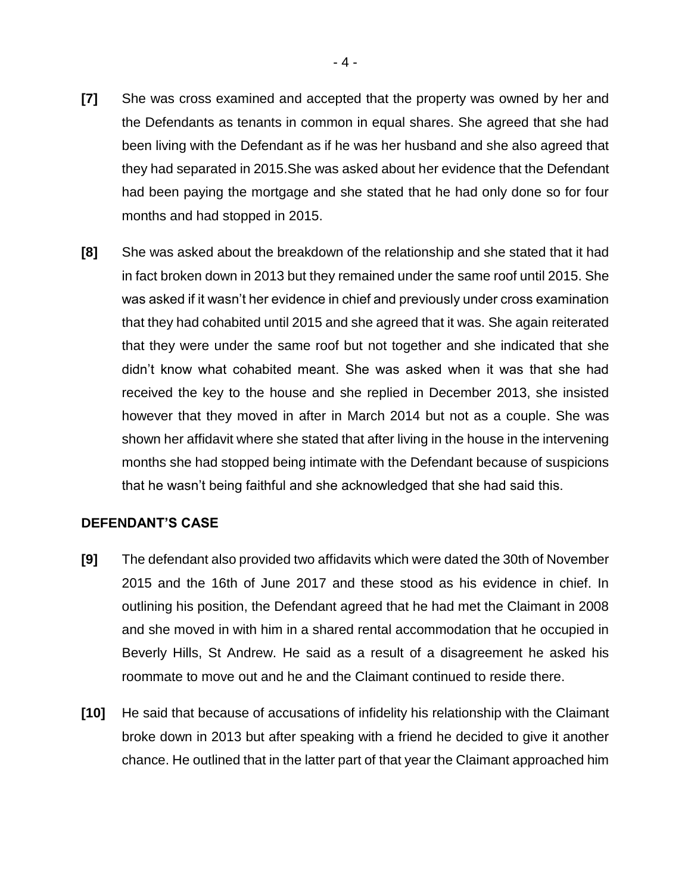- **[7]** She was cross examined and accepted that the property was owned by her and the Defendants as tenants in common in equal shares. She agreed that she had been living with the Defendant as if he was her husband and she also agreed that they had separated in 2015.She was asked about her evidence that the Defendant had been paying the mortgage and she stated that he had only done so for four months and had stopped in 2015.
- **[8]** She was asked about the breakdown of the relationship and she stated that it had in fact broken down in 2013 but they remained under the same roof until 2015. She was asked if it wasn't her evidence in chief and previously under cross examination that they had cohabited until 2015 and she agreed that it was. She again reiterated that they were under the same roof but not together and she indicated that she didn't know what cohabited meant. She was asked when it was that she had received the key to the house and she replied in December 2013, she insisted however that they moved in after in March 2014 but not as a couple. She was shown her affidavit where she stated that after living in the house in the intervening months she had stopped being intimate with the Defendant because of suspicions that he wasn't being faithful and she acknowledged that she had said this.

### **DEFENDANT'S CASE**

- **[9]** The defendant also provided two affidavits which were dated the 30th of November 2015 and the 16th of June 2017 and these stood as his evidence in chief. In outlining his position, the Defendant agreed that he had met the Claimant in 2008 and she moved in with him in a shared rental accommodation that he occupied in Beverly Hills, St Andrew. He said as a result of a disagreement he asked his roommate to move out and he and the Claimant continued to reside there.
- **[10]** He said that because of accusations of infidelity his relationship with the Claimant broke down in 2013 but after speaking with a friend he decided to give it another chance. He outlined that in the latter part of that year the Claimant approached him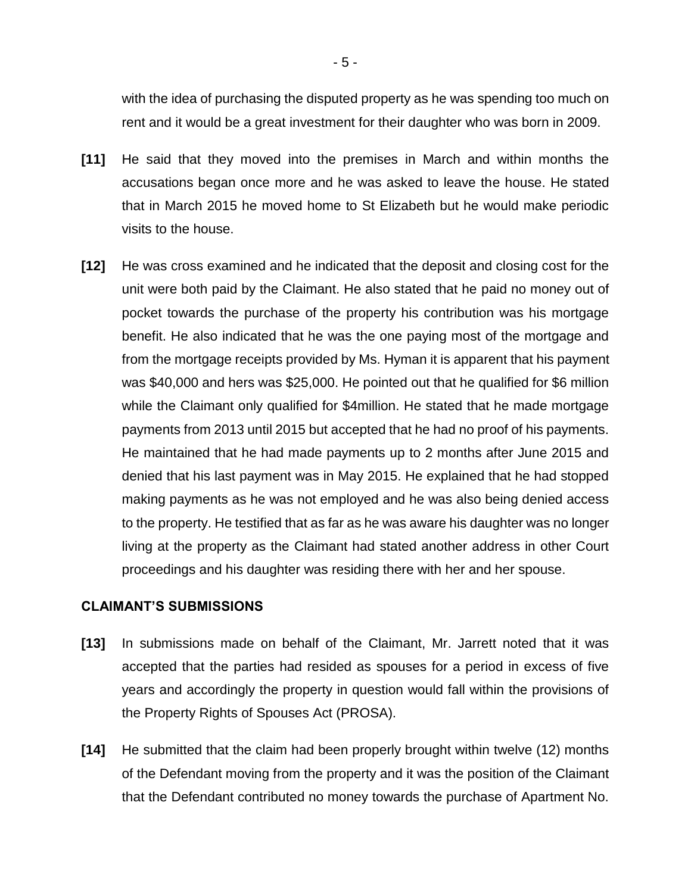with the idea of purchasing the disputed property as he was spending too much on rent and it would be a great investment for their daughter who was born in 2009.

- **[11]** He said that they moved into the premises in March and within months the accusations began once more and he was asked to leave the house. He stated that in March 2015 he moved home to St Elizabeth but he would make periodic visits to the house.
- **[12]** He was cross examined and he indicated that the deposit and closing cost for the unit were both paid by the Claimant. He also stated that he paid no money out of pocket towards the purchase of the property his contribution was his mortgage benefit. He also indicated that he was the one paying most of the mortgage and from the mortgage receipts provided by Ms. Hyman it is apparent that his payment was \$40,000 and hers was \$25,000. He pointed out that he qualified for \$6 million while the Claimant only qualified for \$4million. He stated that he made mortgage payments from 2013 until 2015 but accepted that he had no proof of his payments. He maintained that he had made payments up to 2 months after June 2015 and denied that his last payment was in May 2015. He explained that he had stopped making payments as he was not employed and he was also being denied access to the property. He testified that as far as he was aware his daughter was no longer living at the property as the Claimant had stated another address in other Court proceedings and his daughter was residing there with her and her spouse.

#### **CLAIMANT'S SUBMISSIONS**

- **[13]** In submissions made on behalf of the Claimant, Mr. Jarrett noted that it was accepted that the parties had resided as spouses for a period in excess of five years and accordingly the property in question would fall within the provisions of the Property Rights of Spouses Act (PROSA).
- **[14]** He submitted that the claim had been properly brought within twelve (12) months of the Defendant moving from the property and it was the position of the Claimant that the Defendant contributed no money towards the purchase of Apartment No.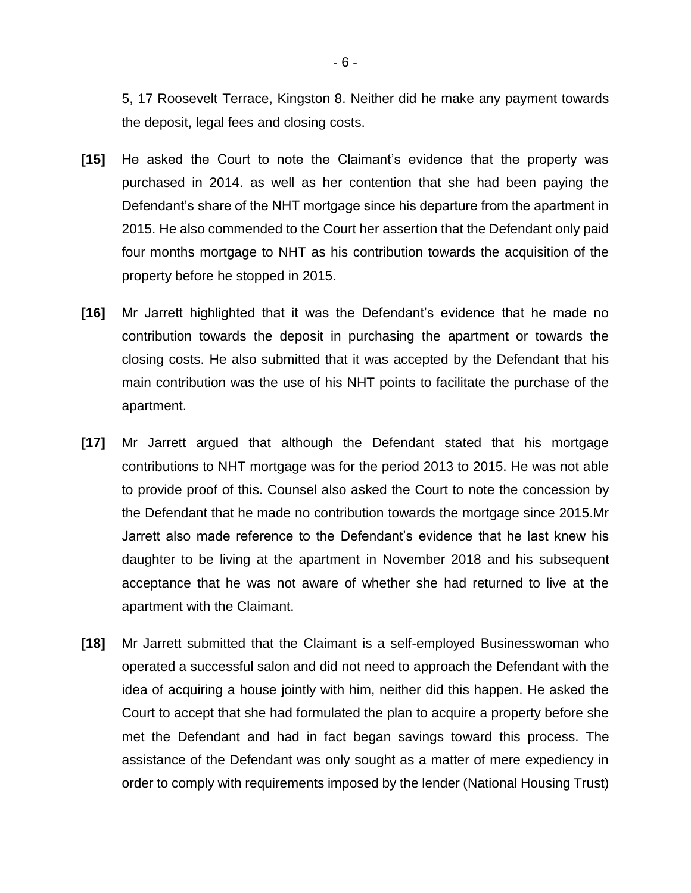5, 17 Roosevelt Terrace, Kingston 8. Neither did he make any payment towards the deposit, legal fees and closing costs.

- **[15]** He asked the Court to note the Claimant's evidence that the property was purchased in 2014. as well as her contention that she had been paying the Defendant's share of the NHT mortgage since his departure from the apartment in 2015. He also commended to the Court her assertion that the Defendant only paid four months mortgage to NHT as his contribution towards the acquisition of the property before he stopped in 2015.
- **[16]** Mr Jarrett highlighted that it was the Defendant's evidence that he made no contribution towards the deposit in purchasing the apartment or towards the closing costs. He also submitted that it was accepted by the Defendant that his main contribution was the use of his NHT points to facilitate the purchase of the apartment.
- **[17]** Mr Jarrett argued that although the Defendant stated that his mortgage contributions to NHT mortgage was for the period 2013 to 2015. He was not able to provide proof of this. Counsel also asked the Court to note the concession by the Defendant that he made no contribution towards the mortgage since 2015.Mr Jarrett also made reference to the Defendant's evidence that he last knew his daughter to be living at the apartment in November 2018 and his subsequent acceptance that he was not aware of whether she had returned to live at the apartment with the Claimant.
- **[18]** Mr Jarrett submitted that the Claimant is a self-employed Businesswoman who operated a successful salon and did not need to approach the Defendant with the idea of acquiring a house jointly with him, neither did this happen. He asked the Court to accept that she had formulated the plan to acquire a property before she met the Defendant and had in fact began savings toward this process. The assistance of the Defendant was only sought as a matter of mere expediency in order to comply with requirements imposed by the lender (National Housing Trust)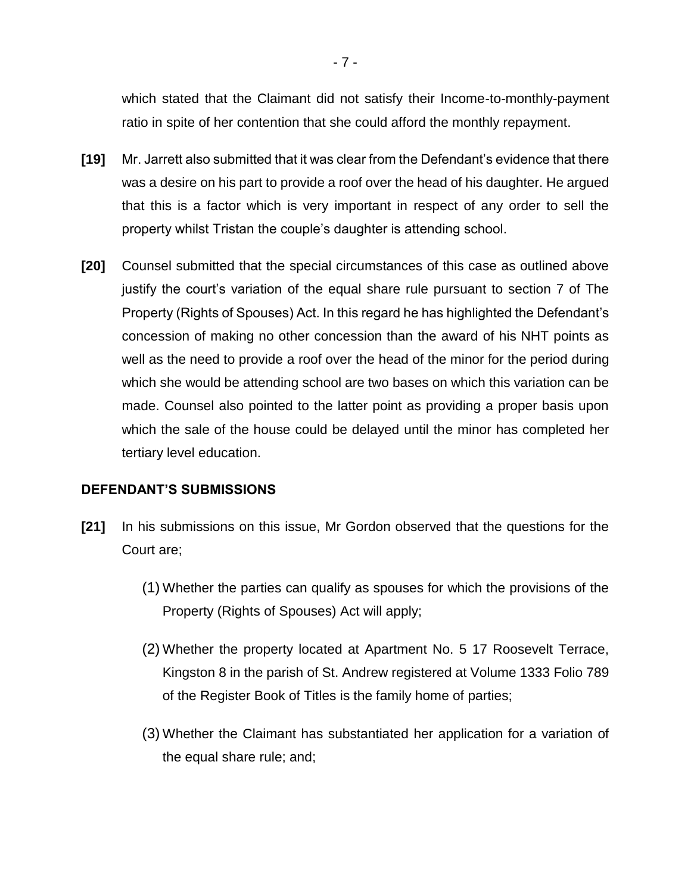which stated that the Claimant did not satisfy their Income-to-monthly-payment ratio in spite of her contention that she could afford the monthly repayment.

- **[19]** Mr. Jarrett also submitted that it was clear from the Defendant's evidence that there was a desire on his part to provide a roof over the head of his daughter. He argued that this is a factor which is very important in respect of any order to sell the property whilst Tristan the couple's daughter is attending school.
- **[20]** Counsel submitted that the special circumstances of this case as outlined above justify the court's variation of the equal share rule pursuant to section 7 of The Property (Rights of Spouses) Act. In this regard he has highlighted the Defendant's concession of making no other concession than the award of his NHT points as well as the need to provide a roof over the head of the minor for the period during which she would be attending school are two bases on which this variation can be made. Counsel also pointed to the latter point as providing a proper basis upon which the sale of the house could be delayed until the minor has completed her tertiary level education.

### **DEFENDANT'S SUBMISSIONS**

- **[21]** In his submissions on this issue, Mr Gordon observed that the questions for the Court are;
	- (1) Whether the parties can qualify as spouses for which the provisions of the Property (Rights of Spouses) Act will apply;
	- (2) Whether the property located at Apartment No. 5 17 Roosevelt Terrace, Kingston 8 in the parish of St. Andrew registered at Volume 1333 Folio 789 of the Register Book of Titles is the family home of parties;
	- (3) Whether the Claimant has substantiated her application for a variation of the equal share rule; and;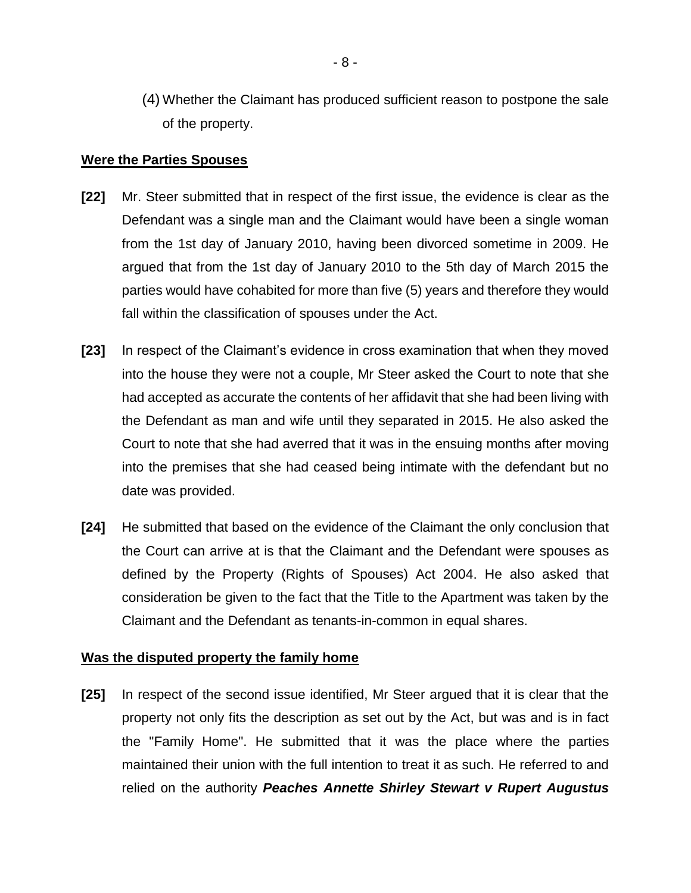(4) Whether the Claimant has produced sufficient reason to postpone the sale of the property.

#### **Were the Parties Spouses**

- **[22]** Mr. Steer submitted that in respect of the first issue, the evidence is clear as the Defendant was a single man and the Claimant would have been a single woman from the 1st day of January 2010, having been divorced sometime in 2009. He argued that from the 1st day of January 2010 to the 5th day of March 2015 the parties would have cohabited for more than five (5) years and therefore they would fall within the classification of spouses under the Act.
- **[23]** In respect of the Claimant's evidence in cross examination that when they moved into the house they were not a couple, Mr Steer asked the Court to note that she had accepted as accurate the contents of her affidavit that she had been living with the Defendant as man and wife until they separated in 2015. He also asked the Court to note that she had averred that it was in the ensuing months after moving into the premises that she had ceased being intimate with the defendant but no date was provided.
- **[24]** He submitted that based on the evidence of the Claimant the only conclusion that the Court can arrive at is that the Claimant and the Defendant were spouses as defined by the Property (Rights of Spouses) Act 2004. He also asked that consideration be given to the fact that the Title to the Apartment was taken by the Claimant and the Defendant as tenants-in-common in equal shares.

### **Was the disputed property the family home**

**[25]** In respect of the second issue identified, Mr Steer argued that it is clear that the property not only fits the description as set out by the Act, but was and is in fact the "Family Home". He submitted that it was the place where the parties maintained their union with the full intention to treat it as such. He referred to and relied on the authority *Peaches Annette Shirley Stewart v Rupert Augustus*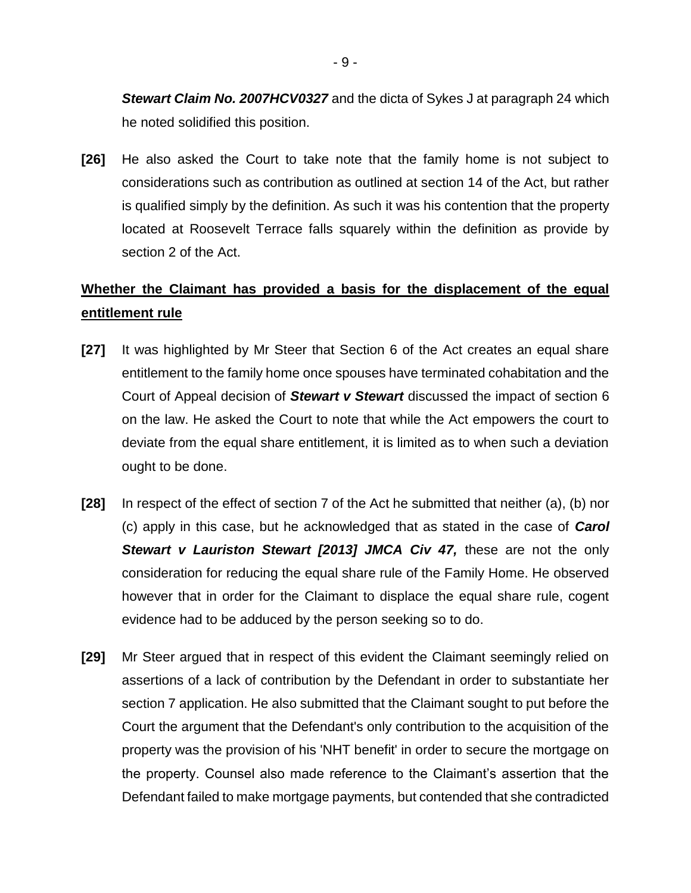*Stewart Claim No. 2007HCV0327* and the dicta of Sykes J at paragraph 24 which he noted solidified this position.

**[26]** He also asked the Court to take note that the family home is not subject to considerations such as contribution as outlined at section 14 of the Act, but rather is qualified simply by the definition. As such it was his contention that the property located at Roosevelt Terrace falls squarely within the definition as provide by section 2 of the Act.

# **Whether the Claimant has provided a basis for the displacement of the equal entitlement rule**

- **[27]** It was highlighted by Mr Steer that Section 6 of the Act creates an equal share entitlement to the family home once spouses have terminated cohabitation and the Court of Appeal decision of *Stewart v Stewart* discussed the impact of section 6 on the law. He asked the Court to note that while the Act empowers the court to deviate from the equal share entitlement, it is limited as to when such a deviation ought to be done.
- **[28]** In respect of the effect of section 7 of the Act he submitted that neither (a), (b) nor (c) apply in this case, but he acknowledged that as stated in the case of *Carol Stewart v Lauriston Stewart [2013] JMCA Civ 47,* these are not the only consideration for reducing the equal share rule of the Family Home. He observed however that in order for the Claimant to displace the equal share rule, cogent evidence had to be adduced by the person seeking so to do.
- **[29]** Mr Steer argued that in respect of this evident the Claimant seemingly relied on assertions of a lack of contribution by the Defendant in order to substantiate her section 7 application. He also submitted that the Claimant sought to put before the Court the argument that the Defendant's only contribution to the acquisition of the property was the provision of his 'NHT benefit' in order to secure the mortgage on the property. Counsel also made reference to the Claimant's assertion that the Defendant failed to make mortgage payments, but contended that she contradicted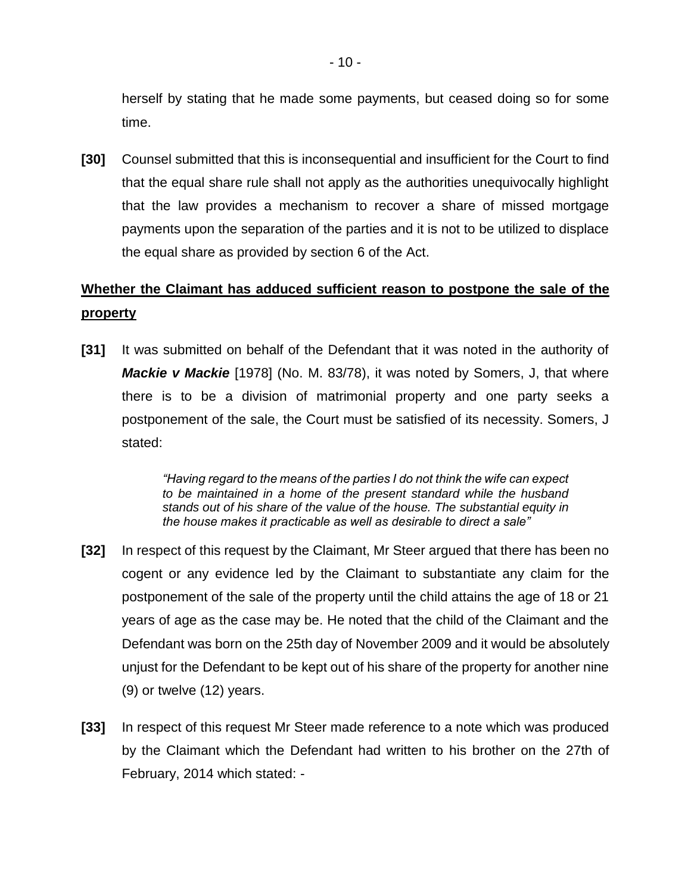herself by stating that he made some payments, but ceased doing so for some time.

**[30]** Counsel submitted that this is inconsequential and insufficient for the Court to find that the equal share rule shall not apply as the authorities unequivocally highlight that the law provides a mechanism to recover a share of missed mortgage payments upon the separation of the parties and it is not to be utilized to displace the equal share as provided by section 6 of the Act.

# **Whether the Claimant has adduced sufficient reason to postpone the sale of the property**

**[31]** It was submitted on behalf of the Defendant that it was noted in the authority of *Mackie v Mackie* [1978] (No. M. 83/78), it was noted by Somers, J, that where there is to be a division of matrimonial property and one party seeks a postponement of the sale, the Court must be satisfied of its necessity. Somers, J stated:

> *"Having regard to the means of the parties I do not think the wife can expect to be maintained in a home of the present standard while the husband stands out of his share of the value of the house. The substantial equity in the house makes it practicable as well as desirable to direct a sale"*

- **[32]** In respect of this request by the Claimant, Mr Steer argued that there has been no cogent or any evidence led by the Claimant to substantiate any claim for the postponement of the sale of the property until the child attains the age of 18 or 21 years of age as the case may be. He noted that the child of the Claimant and the Defendant was born on the 25th day of November 2009 and it would be absolutely unjust for the Defendant to be kept out of his share of the property for another nine (9) or twelve (12) years.
- **[33]** In respect of this request Mr Steer made reference to a note which was produced by the Claimant which the Defendant had written to his brother on the 27th of February, 2014 which stated: -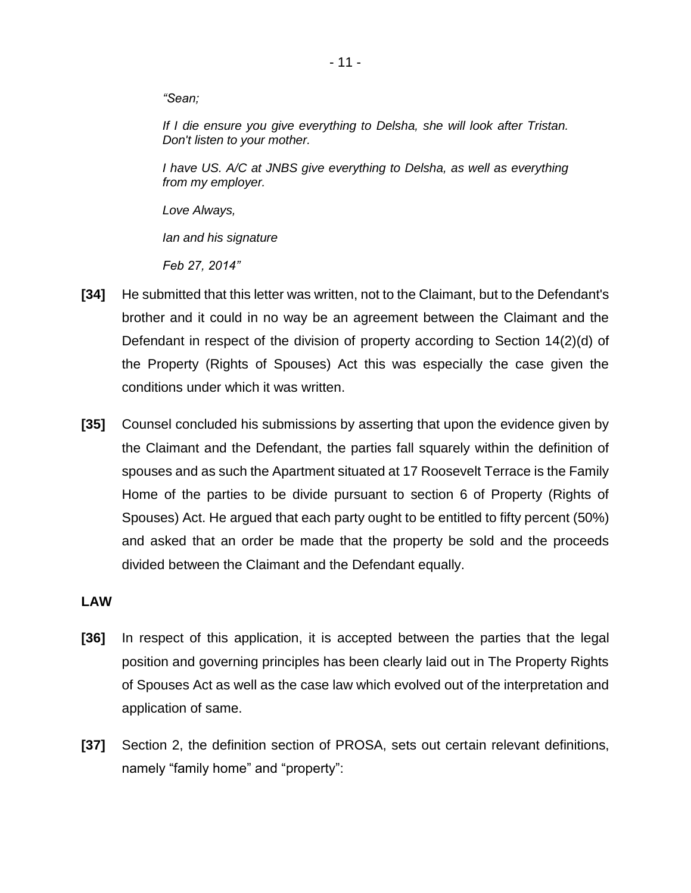*"Sean;*

*If I die ensure you give everything to Delsha, she will look after Tristan. Don't listen to your mother.*

*I have US. A/C at JNBS give everything to Delsha, as well as everything from my employer.*

*Love Always,*

*Ian and his signature*

*Feb 27, 2014"*

- **[34]** He submitted that this letter was written, not to the Claimant, but to the Defendant's brother and it could in no way be an agreement between the Claimant and the Defendant in respect of the division of property according to Section 14(2)(d) of the Property (Rights of Spouses) Act this was especially the case given the conditions under which it was written.
- **[35]** Counsel concluded his submissions by asserting that upon the evidence given by the Claimant and the Defendant, the parties fall squarely within the definition of spouses and as such the Apartment situated at 17 Roosevelt Terrace is the Family Home of the parties to be divide pursuant to section 6 of Property (Rights of Spouses) Act. He argued that each party ought to be entitled to fifty percent (50%) and asked that an order be made that the property be sold and the proceeds divided between the Claimant and the Defendant equally.

#### **LAW**

- **[36]** In respect of this application, it is accepted between the parties that the legal position and governing principles has been clearly laid out in The Property Rights of Spouses Act as well as the case law which evolved out of the interpretation and application of same.
- **[37]** Section 2, the definition section of PROSA, sets out certain relevant definitions, namely "family home" and "property":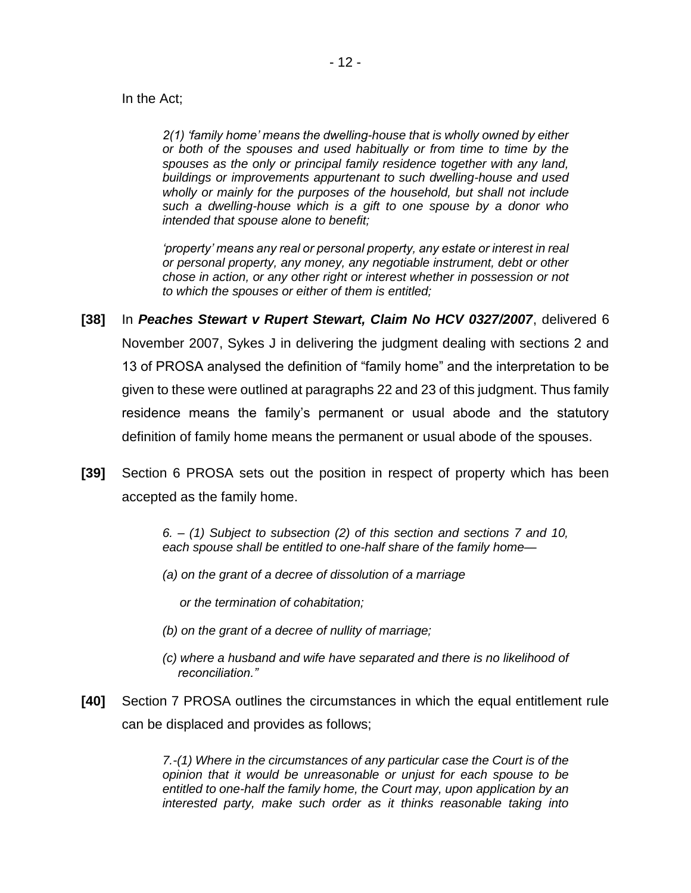#### In the Act;

*2(1) 'family home' means the dwelling-house that is wholly owned by either or both of the spouses and used habitually or from time to time by the spouses as the only or principal family residence together with any land, buildings or improvements appurtenant to such dwelling-house and used wholly or mainly for the purposes of the household, but shall not include such a dwelling-house which is a gift to one spouse by a donor who intended that spouse alone to benefit;*

*'property' means any real or personal property, any estate or interest in real or personal property, any money, any negotiable instrument, debt or other chose in action, or any other right or interest whether in possession or not to which the spouses or either of them is entitled;*

- **[38]** In *Peaches Stewart v Rupert Stewart, Claim No HCV 0327/2007*, delivered 6 November 2007, Sykes J in delivering the judgment dealing with sections 2 and 13 of PROSA analysed the definition of "family home" and the interpretation to be given to these were outlined at paragraphs 22 and 23 of this judgment. Thus family residence means the family's permanent or usual abode and the statutory definition of family home means the permanent or usual abode of the spouses.
- **[39]** Section 6 PROSA sets out the position in respect of property which has been accepted as the family home.

*6. – (1) Subject to subsection (2) of this section and sections 7 and 10, each spouse shall be entitled to one-half share of the family home—*

*(a) on the grant of a decree of dissolution of a marriage*

 *or the termination of cohabitation;*

- *(b) on the grant of a decree of nullity of marriage;*
- *(c) where a husband and wife have separated and there is no likelihood of reconciliation."*
- **[40]** Section 7 PROSA outlines the circumstances in which the equal entitlement rule can be displaced and provides as follows;

*7.-(1) Where in the circumstances of any particular case the Court is of the opinion that it would be unreasonable or unjust for each spouse to be entitled to one-half the family home, the Court may, upon application by an interested party, make such order as it thinks reasonable taking into*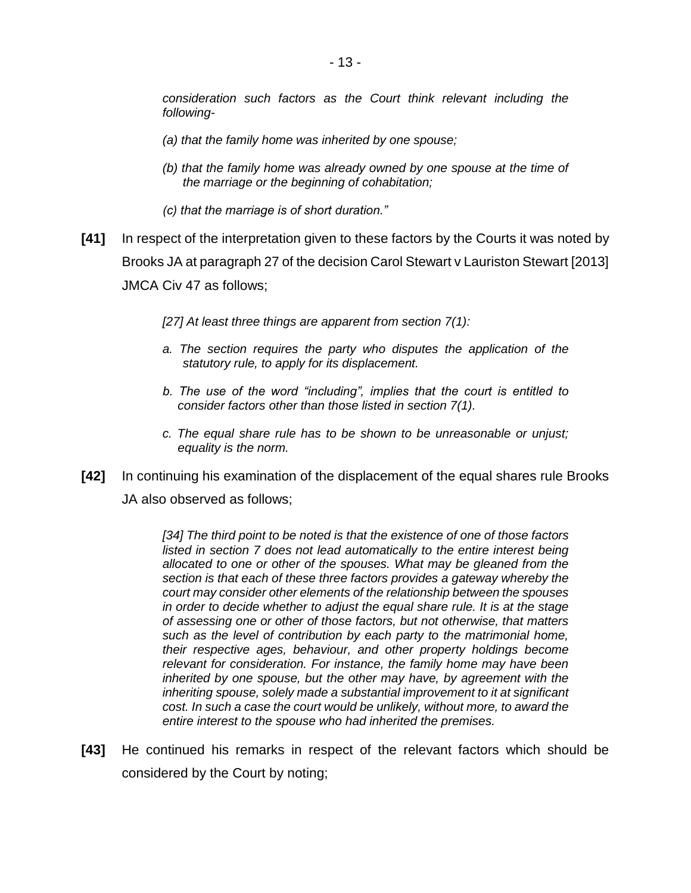*consideration such factors as the Court think relevant including the following-*

- *(a) that the family home was inherited by one spouse;*
- *(b) that the family home was already owned by one spouse at the time of the marriage or the beginning of cohabitation;*
- *(c) that the marriage is of short duration."*
- **[41]** In respect of the interpretation given to these factors by the Courts it was noted by Brooks JA at paragraph 27 of the decision Carol Stewart v Lauriston Stewart [2013] JMCA Civ 47 as follows;

*[27] At least three things are apparent from section 7(1):*

- *a. The section requires the party who disputes the application of the statutory rule, to apply for its displacement.*
- *b. The use of the word "including", implies that the court is entitled to consider factors other than those listed in section 7(1).*
- *c. The equal share rule has to be shown to be unreasonable or unjust; equality is the norm.*
- **[42]** In continuing his examination of the displacement of the equal shares rule Brooks JA also observed as follows;

*[34] The third point to be noted is that the existence of one of those factors listed in section 7 does not lead automatically to the entire interest being allocated to one or other of the spouses. What may be gleaned from the section is that each of these three factors provides a gateway whereby the court may consider other elements of the relationship between the spouses in order to decide whether to adjust the equal share rule. It is at the stage of assessing one or other of those factors, but not otherwise, that matters such as the level of contribution by each party to the matrimonial home, their respective ages, behaviour, and other property holdings become relevant for consideration. For instance, the family home may have been inherited by one spouse, but the other may have, by agreement with the inheriting spouse, solely made a substantial improvement to it at significant cost. In such a case the court would be unlikely, without more, to award the entire interest to the spouse who had inherited the premises.*

**[43]** He continued his remarks in respect of the relevant factors which should be considered by the Court by noting;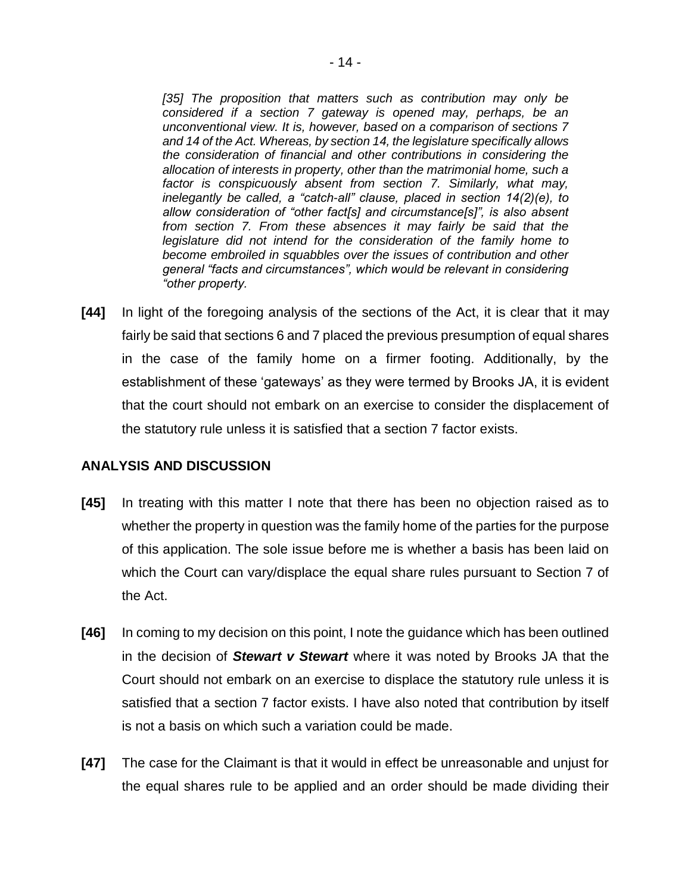*[35] The proposition that matters such as contribution may only be considered if a section 7 gateway is opened may, perhaps, be an unconventional view. It is, however, based on a comparison of sections 7 and 14 of the Act. Whereas, by section 14, the legislature specifically allows the consideration of financial and other contributions in considering the allocation of interests in property, other than the matrimonial home, such a factor is conspicuously absent from section 7. Similarly, what may, inelegantly be called, a "catch-all" clause, placed in section 14(2)(e), to allow consideration of "other fact[s] and circumstance[s]", is also absent from section 7. From these absences it may fairly be said that the legislature did not intend for the consideration of the family home to become embroiled in squabbles over the issues of contribution and other general "facts and circumstances", which would be relevant in considering "other property.*

**[44]** In light of the foregoing analysis of the sections of the Act, it is clear that it may fairly be said that sections 6 and 7 placed the previous presumption of equal shares in the case of the family home on a firmer footing. Additionally, by the establishment of these 'gateways' as they were termed by Brooks JA, it is evident that the court should not embark on an exercise to consider the displacement of the statutory rule unless it is satisfied that a section 7 factor exists.

### **ANALYSIS AND DISCUSSION**

- **[45]** In treating with this matter I note that there has been no objection raised as to whether the property in question was the family home of the parties for the purpose of this application. The sole issue before me is whether a basis has been laid on which the Court can vary/displace the equal share rules pursuant to Section 7 of the Act.
- **[46]** In coming to my decision on this point, I note the guidance which has been outlined in the decision of *Stewart v Stewart* where it was noted by Brooks JA that the Court should not embark on an exercise to displace the statutory rule unless it is satisfied that a section 7 factor exists. I have also noted that contribution by itself is not a basis on which such a variation could be made.
- **[47]** The case for the Claimant is that it would in effect be unreasonable and unjust for the equal shares rule to be applied and an order should be made dividing their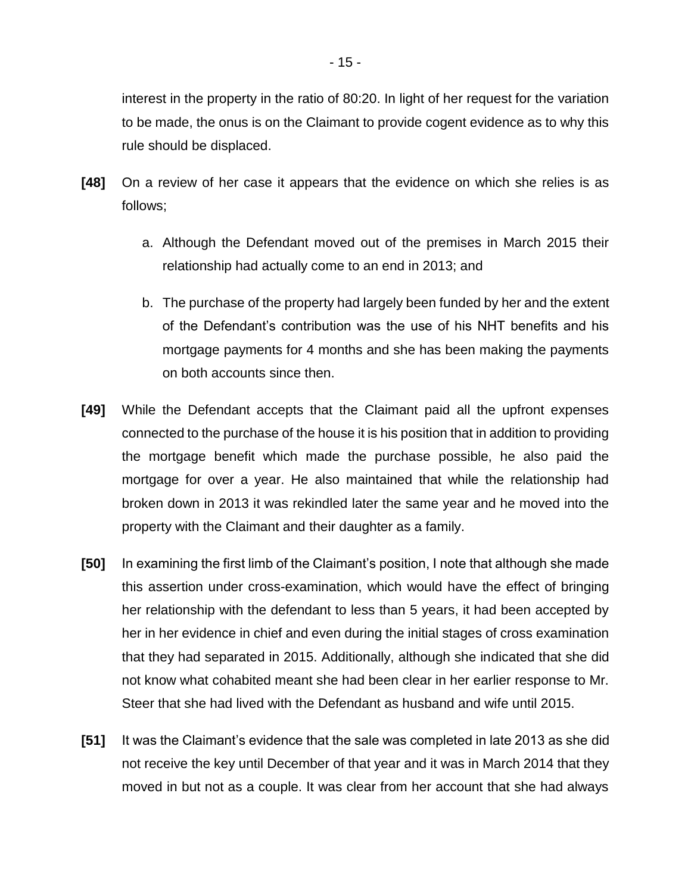interest in the property in the ratio of 80:20. In light of her request for the variation to be made, the onus is on the Claimant to provide cogent evidence as to why this rule should be displaced.

- **[48]** On a review of her case it appears that the evidence on which she relies is as follows;
	- a. Although the Defendant moved out of the premises in March 2015 their relationship had actually come to an end in 2013; and
	- b. The purchase of the property had largely been funded by her and the extent of the Defendant's contribution was the use of his NHT benefits and his mortgage payments for 4 months and she has been making the payments on both accounts since then.
- **[49]** While the Defendant accepts that the Claimant paid all the upfront expenses connected to the purchase of the house it is his position that in addition to providing the mortgage benefit which made the purchase possible, he also paid the mortgage for over a year. He also maintained that while the relationship had broken down in 2013 it was rekindled later the same year and he moved into the property with the Claimant and their daughter as a family.
- **[50]** In examining the first limb of the Claimant's position, I note that although she made this assertion under cross-examination, which would have the effect of bringing her relationship with the defendant to less than 5 years, it had been accepted by her in her evidence in chief and even during the initial stages of cross examination that they had separated in 2015. Additionally, although she indicated that she did not know what cohabited meant she had been clear in her earlier response to Mr. Steer that she had lived with the Defendant as husband and wife until 2015.
- **[51]** It was the Claimant's evidence that the sale was completed in late 2013 as she did not receive the key until December of that year and it was in March 2014 that they moved in but not as a couple. It was clear from her account that she had always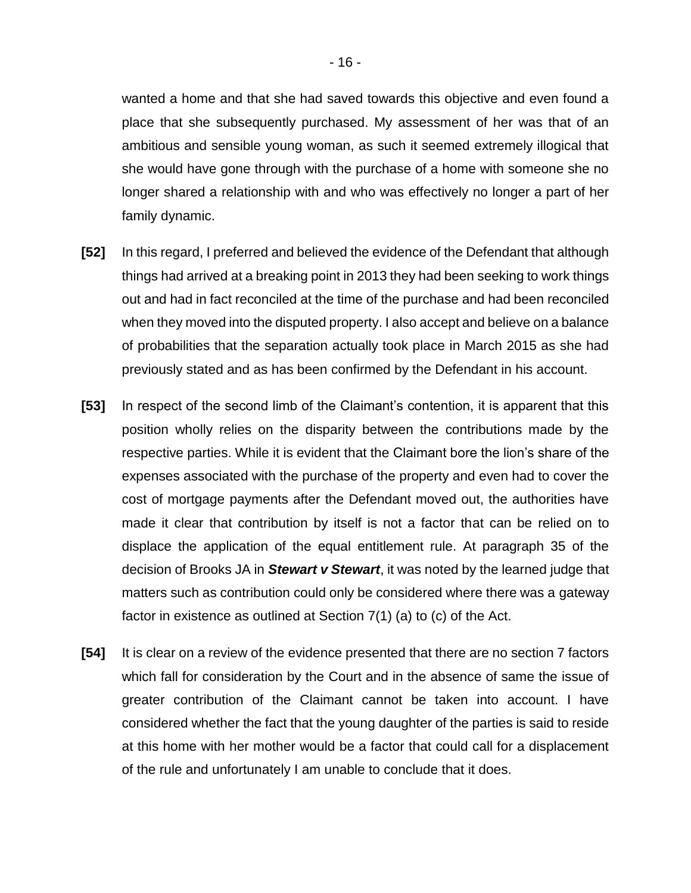wanted a home and that she had saved towards this objective and even found a place that she subsequently purchased. My assessment of her was that of an ambitious and sensible young woman, as such it seemed extremely illogical that she would have gone through with the purchase of a home with someone she no longer shared a relationship with and who was effectively no longer a part of her family dynamic.

- **[52]** In this regard, I preferred and believed the evidence of the Defendant that although things had arrived at a breaking point in 2013 they had been seeking to work things out and had in fact reconciled at the time of the purchase and had been reconciled when they moved into the disputed property. I also accept and believe on a balance of probabilities that the separation actually took place in March 2015 as she had previously stated and as has been confirmed by the Defendant in his account.
- **[53]** In respect of the second limb of the Claimant's contention, it is apparent that this position wholly relies on the disparity between the contributions made by the respective parties. While it is evident that the Claimant bore the lion's share of the expenses associated with the purchase of the property and even had to cover the cost of mortgage payments after the Defendant moved out, the authorities have made it clear that contribution by itself is not a factor that can be relied on to displace the application of the equal entitlement rule. At paragraph 35 of the decision of Brooks JA in *Stewart v Stewart*, it was noted by the learned judge that matters such as contribution could only be considered where there was a gateway factor in existence as outlined at Section 7(1) (a) to (c) of the Act.
- **[54]** It is clear on a review of the evidence presented that there are no section 7 factors which fall for consideration by the Court and in the absence of same the issue of greater contribution of the Claimant cannot be taken into account. I have considered whether the fact that the young daughter of the parties is said to reside at this home with her mother would be a factor that could call for a displacement of the rule and unfortunately I am unable to conclude that it does.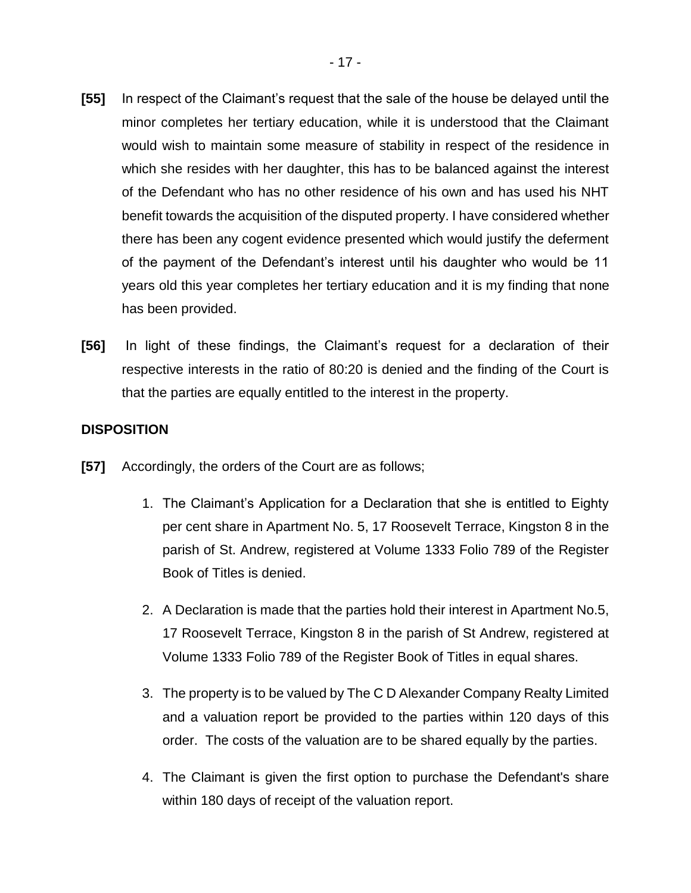- **[55]** In respect of the Claimant's request that the sale of the house be delayed until the minor completes her tertiary education, while it is understood that the Claimant would wish to maintain some measure of stability in respect of the residence in which she resides with her daughter, this has to be balanced against the interest of the Defendant who has no other residence of his own and has used his NHT benefit towards the acquisition of the disputed property. I have considered whether there has been any cogent evidence presented which would justify the deferment of the payment of the Defendant's interest until his daughter who would be 11 years old this year completes her tertiary education and it is my finding that none has been provided.
- **[56]** In light of these findings, the Claimant's request for a declaration of their respective interests in the ratio of 80:20 is denied and the finding of the Court is that the parties are equally entitled to the interest in the property.

### **DISPOSITION**

- **[57]** Accordingly, the orders of the Court are as follows;
	- 1. The Claimant's Application for a Declaration that she is entitled to Eighty per cent share in Apartment No. 5, 17 Roosevelt Terrace, Kingston 8 in the parish of St. Andrew, registered at Volume 1333 Folio 789 of the Register Book of Titles is denied.
	- 2. A Declaration is made that the parties hold their interest in Apartment No.5, 17 Roosevelt Terrace, Kingston 8 in the parish of St Andrew, registered at Volume 1333 Folio 789 of the Register Book of Titles in equal shares.
	- 3. The property is to be valued by The C D Alexander Company Realty Limited and a valuation report be provided to the parties within 120 days of this order. The costs of the valuation are to be shared equally by the parties.
	- 4. The Claimant is given the first option to purchase the Defendant's share within 180 days of receipt of the valuation report.